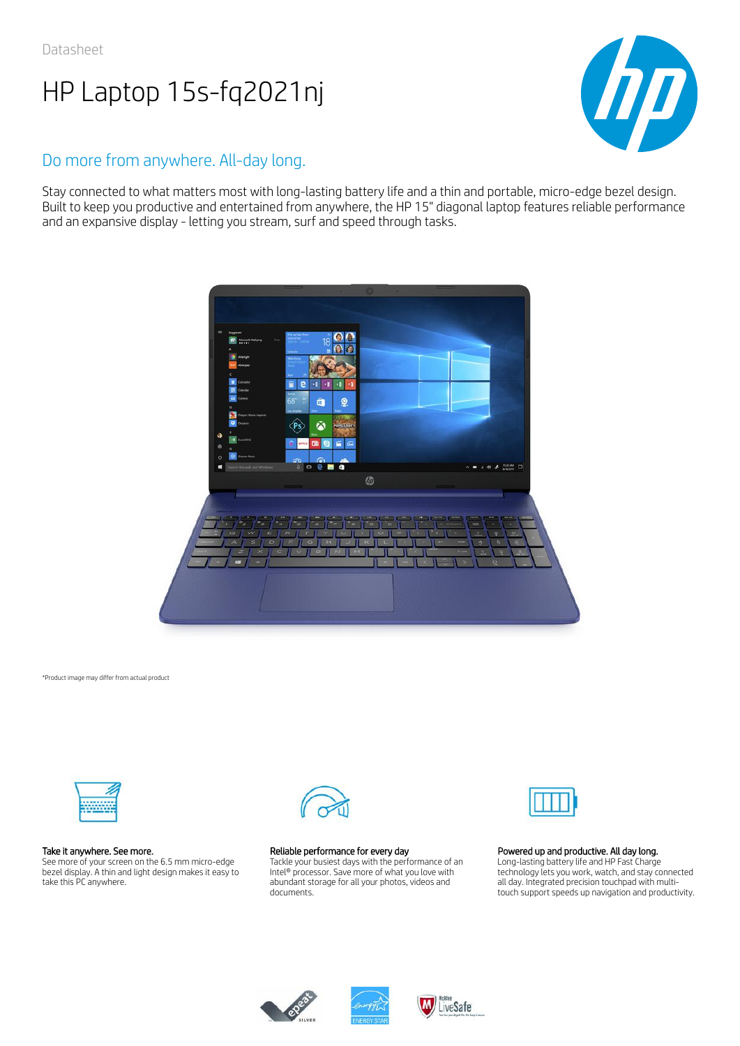

## Do more from anywhere. All-day long.

Stay connected to what matters most with long-lasting battery life and a thin and portable, micro-edge bezel design. Built to keep you productive and entertained from anywhere, the HP 15" diagonal laptop features reliable performance and an expansive display - letting you stream, surf and speed through tasks.



\*Product image may differ from actual product



#### Take it anywhere. See more.

See more of your screen on the 6.5 mm micro-edge bezel display. A thin and light design makes it easy to take this PC anywhere.



#### Reliable performance for every day

Tackle your busiest days with the performance of an Intel® processor. Save more of what you love with abundant storage for all your photos, videos and documents.



#### Powered up and productive. All day long.

Long-lasting battery life and HP Fast Charge technology lets you work, watch, and stay connected all day. Integrated precision touchpad with multitouch support speeds up navigation and productivity.





LiveSafe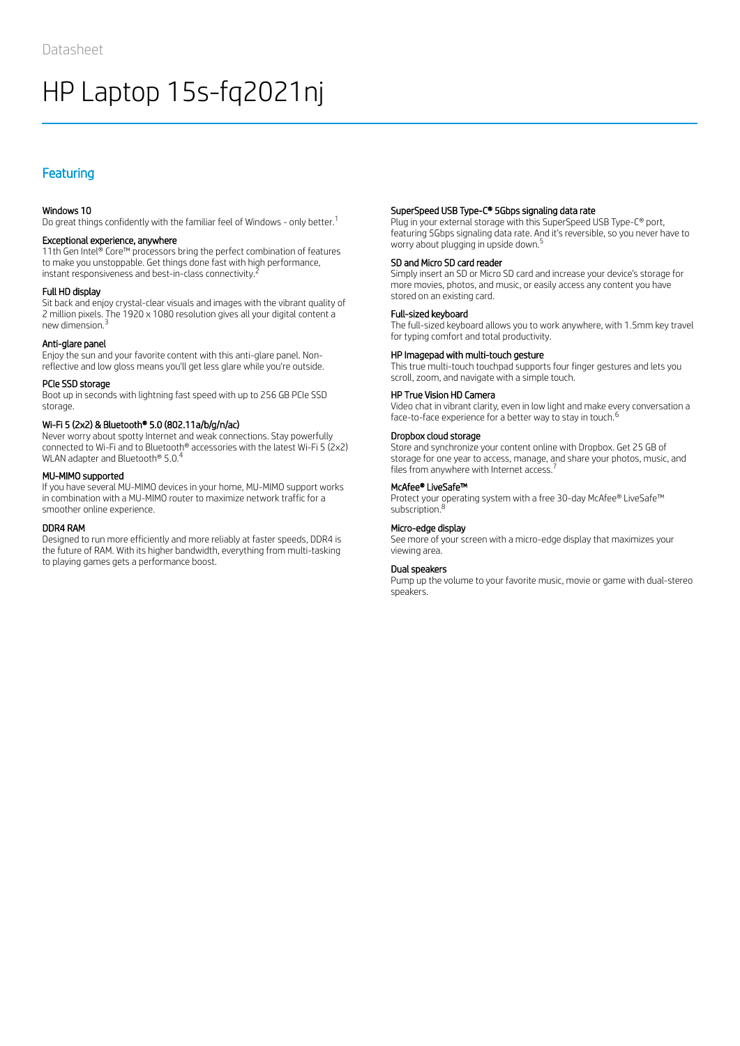## Featuring

#### Windows 10

Do great things confidently with the familiar feel of Windows - only better.<sup>1</sup>

#### Exceptional experience, anywhere

11th Gen Intel® Core™ processors bring the perfect combination of features to make you unstoppable. Get things done fast with high performance, instant responsiveness and best-in-class connectivity.  $^{\bar{z}}$ 

#### Full HD display

Sit back and enjoy crystal-clear visuals and images with the vibrant quality of 2 million pixels. The 1920 x 1080 resolution gives all your digital content a new dimension. 3

#### Anti-glare panel

Enjoy the sun and your favorite content with this anti-glare panel. Nonreflective and low gloss means you'll get less glare while you're outside.

#### PCIe SSD storage

Boot up in seconds with lightning fast speed with up to 256 GB PCIe SSD storage.

#### Wi-Fi 5 (2x2) & Bluetooth® 5.0 (802.11a/b/g/n/ac)

Never worry about spotty Internet and weak connections. Stay powerfully connected to Wi-Fi and to Bluetooth® accessories with the latest Wi-Fi 5 (2x2) WLAN adapter and Bluetooth® 5.0.<sup>4</sup>

#### MU-MIMO supported

If you have several MU-MIMO devices in your home, MU-MIMO support works in combination with a MU-MIMO router to maximize network traffic for a smoother online experience.

#### DDR4 RAM

Designed to run more efficiently and more reliably at faster speeds, DDR4 is the future of RAM. With its higher bandwidth, everything from multi-tasking to playing games gets a performance boost.

#### SuperSpeed USB Type-C® 5Gbps signaling data rate

Plug in your external storage with this SuperSpeed USB Type-C® port, featuring 5Gbps signaling data rate. And it's reversible, so you never have to worry about plugging in upside down. 5

#### SD and Micro SD card reader

Simply insert an SD or Micro SD card and increase your device's storage for more movies, photos, and music, or easily access any content you have stored on an existing card.

#### Full-sized keyboard

The full-sized keyboard allows you to work anywhere, with 1.5mm key travel for typing comfort and total productivity.

#### HP Imagepad with multi-touch gesture

This true multi-touch touchpad supports four finger gestures and lets you scroll, zoom, and navigate with a simple touch.

#### HP True Vision HD Camera

Video chat in vibrant clarity, even in low light and make every conversation a face-to-face experience for a better way to stay in touch.<sup>6</sup>

#### Dropbox cloud storage

Store and synchronize your content online with Dropbox. Get 25 GB of storage for one year to access, manage, and share your photos, music, and files from anywhere with Internet access.<sup>7</sup>

#### McAfee® LiveSafe™

Protect your operating system with a free 30-day McAfee® LiveSafe™ subscription.<sup>8</sup>

#### Micro-edge display

See more of your screen with a micro-edge display that maximizes your viewing area.

#### Dual speakers

Pump up the volume to your favorite music, movie or game with dual-stereo speakers.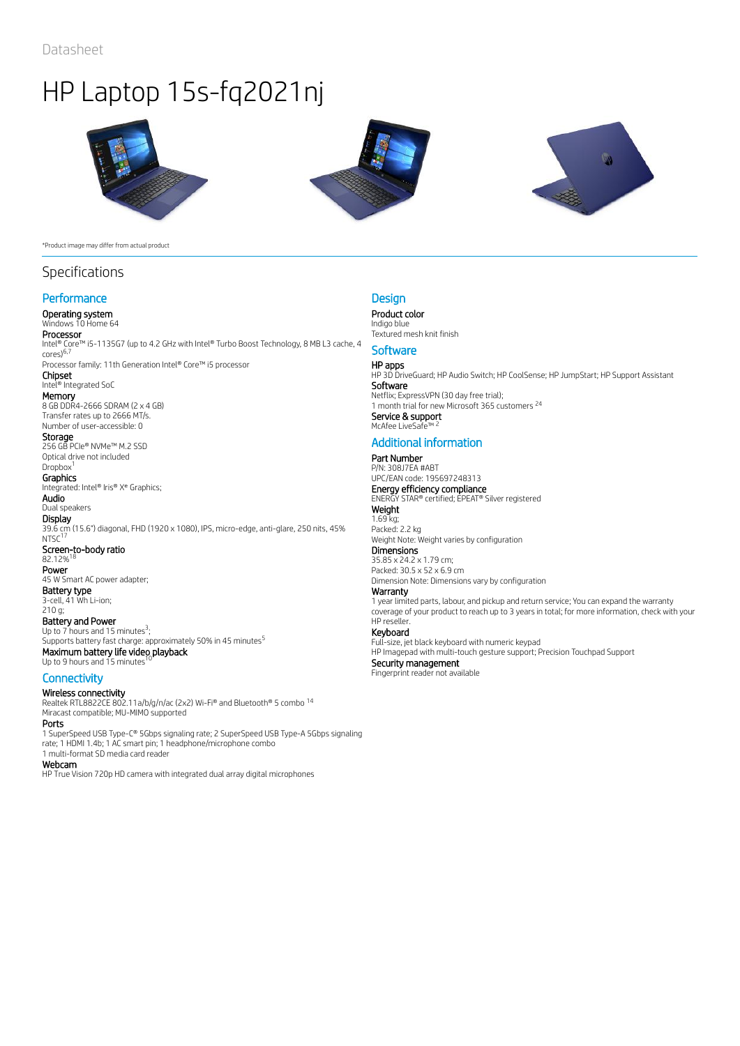





#### \*Product image may differ from actual product

## Specifications

### **Performance**

### Operating system

Windows 10 Home 64 **Processor**<br>Intel® Core™ i5-1135G7 (up to 4.2 GHz with Intel® Turbo Boost Technology, 8 MB L3 cache, 4 cores) 6,7

Processor family: 11th Generation Intel® Core™ i5 processor Chipset

### Intel® Integrated SoC

**Memory**<br>8 GB DDR4-2666 SDRAM (2 x 4 GB) Transfer rates up to 2666 MT/s. Number of user-accessible: 0

#### **Storage**

256 GB PCIe® NVMe™ M.2 SSD Optical drive not included Dropbox<sup>1</sup>

#### **Graphics**

Integrated: Intel® Iris® X<sup>e</sup> Graphics; Audio

Dual speakers **Display** 

39.6 cm (15.6") diagonal, FHD (1920 x 1080), IPS, micro-edge, anti-glare, 250 nits, 45%  $NTSC<sup>17</sup>$ Screen-to-body ratio<br>82.12%<sup>18</sup> 82.12% Power 45 W Smart AC power adapter;

Battery type 3-cell, 41 Wh Li-ion; 210 g;

Battery and Power Up to  $7$  hours and 15 minutes<sup>3</sup>; Supports battery fast charge: approximately 50% in 45 minutes<sup>5</sup> Maximum battery life video playback<br>Un to 9 hours and 15 minutes <sup>10</sup> Up to 9 hours and 15 minutes

#### **Connectivity**

Wireless connectivity

Realtek RTL8822CE 802.11a/b/g/n/ac (2x2) Wi-Fi® and Bluetooth® 5 combo 14 Miracast compatible; MU-MIMO supported

### Ports

1 SuperSpeed USB Type-C® 5Gbps signaling rate; 2 SuperSpeed USB Type-A 5Gbps signaling rate; 1 HDMI 1.4b; 1 AC smart pin; 1 headphone/microphone combo 1 multi-format SD media card reader

#### Webcam

HP True Vision 720p HD camera with integrated dual array digital microphones

#### **Design**

Product color Indigo blue Textured mesh knit finish

## **Software**

**HP apps**<br>HP 3D DriveGuard; HP Audio Switch; HP CoolSense; HP JumpStart; HP Support Assistant Software **Software**<br>Netflix; ExpressVPN (30 day free trial); 1 month trial for new Microsoft 365 customers<sup>24</sup> Service & support McAfee LiveSa 2

### Additional information

#### Part Number P/N: 308J7EA #ABT

UPC/EAN code: 195697248313 **Energy efficiency compliance**<br>ENERGY STAR® certified; EPEAT® Silver registered **Weight** 1.69 kg;

Packed: 2.2 kg Weight Note: Weight varies by configuration **Dimensions** 

35.85 x 24.2 x 1.79 cm; Packed: 30.5 x 52 x 6.9 cm Dimension Note: Dimensions vary by configuration

#### Warranty

1 year limited parts, labour, and pickup and return service; You can expand the warranty coverage of your product to reach up to 3 years in total; for more information, check with your HP reseller.

#### Keyboard

Full-size, jet black keyboard with numeric keypad

HP Imagepad with multi-touch gesture support; Precision Touchpad Support Security management Fingerprint reader not available